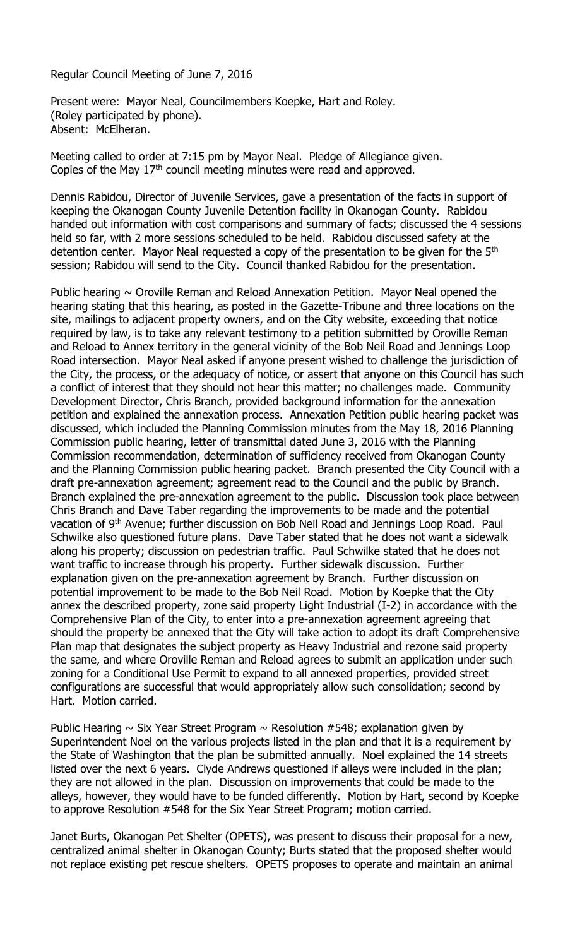Regular Council Meeting of June 7, 2016

Present were: Mayor Neal, Councilmembers Koepke, Hart and Roley. (Roley participated by phone). Absent: McElheran.

Meeting called to order at 7:15 pm by Mayor Neal. Pledge of Allegiance given. Copies of the May 17th council meeting minutes were read and approved.

Dennis Rabidou, Director of Juvenile Services, gave a presentation of the facts in support of keeping the Okanogan County Juvenile Detention facility in Okanogan County. Rabidou handed out information with cost comparisons and summary of facts; discussed the 4 sessions held so far, with 2 more sessions scheduled to be held. Rabidou discussed safety at the detention center. Mayor Neal requested a copy of the presentation to be given for the 5<sup>th</sup> session; Rabidou will send to the City. Council thanked Rabidou for the presentation.

Public hearing  $\sim$  Oroville Reman and Reload Annexation Petition. Mayor Neal opened the hearing stating that this hearing, as posted in the Gazette-Tribune and three locations on the site, mailings to adjacent property owners, and on the City website, exceeding that notice required by law, is to take any relevant testimony to a petition submitted by Oroville Reman and Reload to Annex territory in the general vicinity of the Bob Neil Road and Jennings Loop Road intersection. Mayor Neal asked if anyone present wished to challenge the jurisdiction of the City, the process, or the adequacy of notice, or assert that anyone on this Council has such a conflict of interest that they should not hear this matter; no challenges made. Community Development Director, Chris Branch, provided background information for the annexation petition and explained the annexation process. Annexation Petition public hearing packet was discussed, which included the Planning Commission minutes from the May 18, 2016 Planning Commission public hearing, letter of transmittal dated June 3, 2016 with the Planning Commission recommendation, determination of sufficiency received from Okanogan County and the Planning Commission public hearing packet. Branch presented the City Council with a draft pre-annexation agreement; agreement read to the Council and the public by Branch. Branch explained the pre-annexation agreement to the public. Discussion took place between Chris Branch and Dave Taber regarding the improvements to be made and the potential vacation of 9<sup>th</sup> Avenue; further discussion on Bob Neil Road and Jennings Loop Road. Paul Schwilke also questioned future plans. Dave Taber stated that he does not want a sidewalk along his property; discussion on pedestrian traffic. Paul Schwilke stated that he does not want traffic to increase through his property. Further sidewalk discussion. Further explanation given on the pre-annexation agreement by Branch. Further discussion on potential improvement to be made to the Bob Neil Road. Motion by Koepke that the City annex the described property, zone said property Light Industrial (I-2) in accordance with the Comprehensive Plan of the City, to enter into a pre-annexation agreement agreeing that should the property be annexed that the City will take action to adopt its draft Comprehensive Plan map that designates the subject property as Heavy Industrial and rezone said property the same, and where Oroville Reman and Reload agrees to submit an application under such zoning for a Conditional Use Permit to expand to all annexed properties, provided street configurations are successful that would appropriately allow such consolidation; second by Hart. Motion carried.

Public Hearing  $\sim$  Six Year Street Program  $\sim$  Resolution #548; explanation given by Superintendent Noel on the various projects listed in the plan and that it is a requirement by the State of Washington that the plan be submitted annually. Noel explained the 14 streets listed over the next 6 years. Clyde Andrews questioned if alleys were included in the plan; they are not allowed in the plan. Discussion on improvements that could be made to the alleys, however, they would have to be funded differently. Motion by Hart, second by Koepke to approve Resolution #548 for the Six Year Street Program; motion carried.

Janet Burts, Okanogan Pet Shelter (OPETS), was present to discuss their proposal for a new, centralized animal shelter in Okanogan County; Burts stated that the proposed shelter would not replace existing pet rescue shelters. OPETS proposes to operate and maintain an animal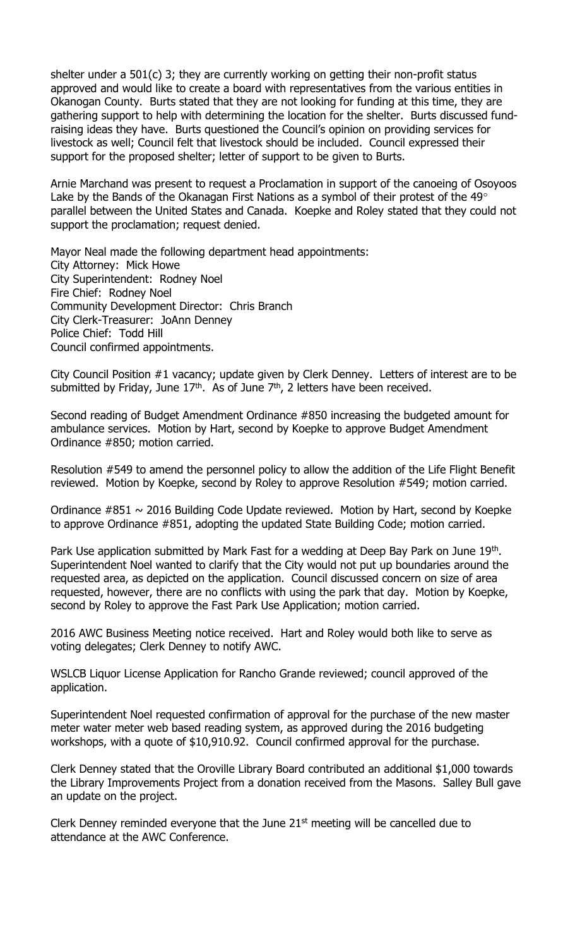shelter under a 501(c) 3; they are currently working on getting their non-profit status approved and would like to create a board with representatives from the various entities in Okanogan County. Burts stated that they are not looking for funding at this time, they are gathering support to help with determining the location for the shelter. Burts discussed fundraising ideas they have. Burts questioned the Council's opinion on providing services for livestock as well; Council felt that livestock should be included. Council expressed their support for the proposed shelter; letter of support to be given to Burts.

Arnie Marchand was present to request a Proclamation in support of the canoeing of Osoyoos Lake by the Bands of the Okanagan First Nations as a symbol of their protest of the  $49^{\circ}$ parallel between the United States and Canada. Koepke and Roley stated that they could not support the proclamation; request denied.

Mayor Neal made the following department head appointments: City Attorney: Mick Howe City Superintendent: Rodney Noel Fire Chief: Rodney Noel Community Development Director: Chris Branch City Clerk-Treasurer: JoAnn Denney Police Chief: Todd Hill Council confirmed appointments.

City Council Position #1 vacancy; update given by Clerk Denney. Letters of interest are to be submitted by Friday, June  $17<sup>th</sup>$ . As of June  $7<sup>th</sup>$ , 2 letters have been received.

Second reading of Budget Amendment Ordinance #850 increasing the budgeted amount for ambulance services. Motion by Hart, second by Koepke to approve Budget Amendment Ordinance #850; motion carried.

Resolution #549 to amend the personnel policy to allow the addition of the Life Flight Benefit reviewed. Motion by Koepke, second by Roley to approve Resolution #549; motion carried.

Ordinance  $\#851 \sim 2016$  Building Code Update reviewed. Motion by Hart, second by Koepke to approve Ordinance #851, adopting the updated State Building Code; motion carried.

Park Use application submitted by Mark Fast for a wedding at Deep Bay Park on June 19<sup>th</sup>. Superintendent Noel wanted to clarify that the City would not put up boundaries around the requested area, as depicted on the application. Council discussed concern on size of area requested, however, there are no conflicts with using the park that day. Motion by Koepke, second by Roley to approve the Fast Park Use Application; motion carried.

2016 AWC Business Meeting notice received. Hart and Roley would both like to serve as voting delegates; Clerk Denney to notify AWC.

WSLCB Liquor License Application for Rancho Grande reviewed; council approved of the application.

Superintendent Noel requested confirmation of approval for the purchase of the new master meter water meter web based reading system, as approved during the 2016 budgeting workshops, with a quote of \$10,910.92. Council confirmed approval for the purchase.

Clerk Denney stated that the Oroville Library Board contributed an additional \$1,000 towards the Library Improvements Project from a donation received from the Masons. Salley Bull gave an update on the project.

Clerk Denney reminded everyone that the June  $21<sup>st</sup>$  meeting will be cancelled due to attendance at the AWC Conference.